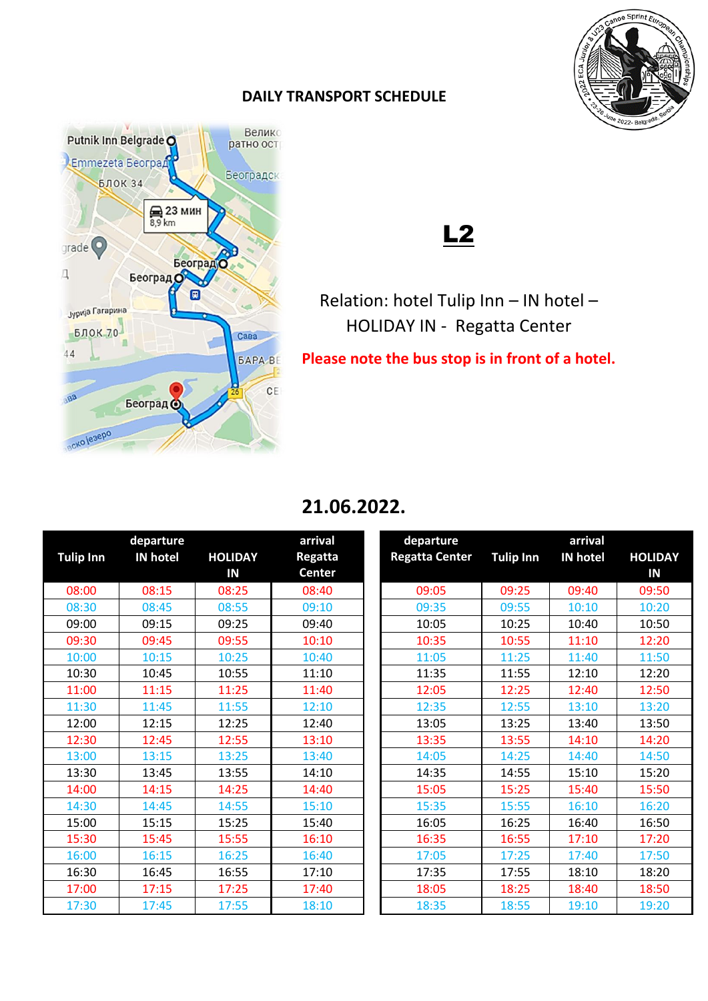

## **DAILY TRANSPORT SCHEDULE**



## L2

Relation: hotel Tulip Inn – IN hotel – HOLIDAY IN - Regatta Center

**Please note the bus stop is in front of a hotel.** 

## **21.06.2022.**

|                  | departure       |                | arrival        | departure             |                  | arrival         |                |
|------------------|-----------------|----------------|----------------|-----------------------|------------------|-----------------|----------------|
| <b>Tulip Inn</b> | <b>IN hotel</b> | <b>HOLIDAY</b> | <b>Regatta</b> | <b>Regatta Center</b> | <b>Tulip Inn</b> | <b>IN hotel</b> | <b>HOLIDAY</b> |
|                  |                 | IN             | <b>Center</b>  |                       |                  |                 | IN             |
| 08:00            | 08:15           | 08:25          | 08:40          | 09:05                 | 09:25            | 09:40           | 09:50          |
| 08:30            | 08:45           | 08:55          | 09:10          | 09:35                 | 09:55            | 10:10           | 10:20          |
| 09:00            | 09:15           | 09:25          | 09:40          | 10:05                 | 10:25            | 10:40           | 10:50          |
| 09:30            | 09:45           | 09:55          | 10:10          | 10:35                 | 10:55            | 11:10           | 12:20          |
| 10:00            | 10:15           | 10:25          | 10:40          | 11:05                 | 11:25            | 11:40           | 11:50          |
| 10:30            | 10:45           | 10:55          | 11:10          | 11:35                 | 11:55            | 12:10           | 12:20          |
| 11:00            | 11:15           | 11:25          | 11:40          | 12:05                 | 12:25            | 12:40           | 12:50          |
| 11:30            | 11:45           | 11:55          | 12:10          | 12:35                 | 12:55            | 13:10           | 13:20          |
| 12:00            | 12:15           | 12:25          | 12:40          | 13:05                 | 13:25            | 13:40           | 13:50          |
| 12:30            | 12:45           | 12:55          | 13:10          | 13:35                 | 13:55            | 14:10           | 14:20          |
| 13:00            | 13:15           | 13:25          | 13:40          | 14:05                 | 14:25            | 14:40           | 14:50          |
| 13:30            | 13:45           | 13:55          | 14:10          | 14:35                 | 14:55            | 15:10           | 15:20          |
| 14:00            | 14:15           | 14:25          | 14:40          | 15:05                 | 15:25            | 15:40           | 15:50          |
| 14:30            | 14:45           | 14:55          | 15:10          | 15:35                 | 15:55            | 16:10           | 16:20          |
| 15:00            | 15:15           | 15:25          | 15:40          | 16:05                 | 16:25            | 16:40           | 16:50          |
| 15:30            | 15:45           | 15:55          | 16:10          | 16:35                 | 16:55            | 17:10           | 17:20          |
| 16:00            | 16:15           | 16:25          | 16:40          | 17:05                 | 17:25            | 17:40           | 17:50          |
| 16:30            | 16:45           | 16:55          | 17:10          | 17:35                 | 17:55            | 18:10           | 18:20          |
| 17:00            | 17:15           | 17:25          | 17:40          | 18:05                 | 18:25            | 18:40           | 18:50          |
| 17:30            | 17:45           | 17:55          | 18:10          | 18:35                 | 18:55            | 19:10           | 19:20          |